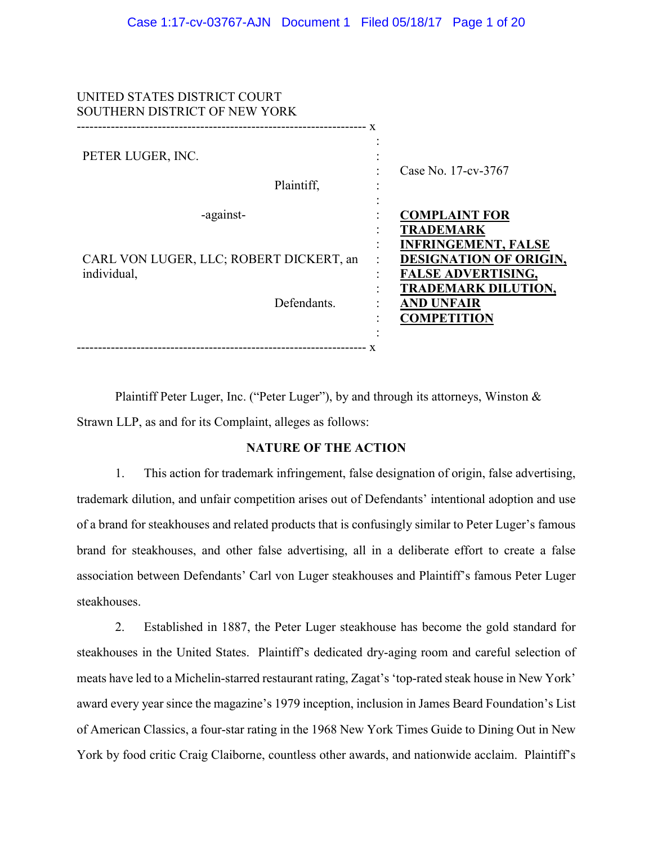| UNITED STATES DISTRICT COURT<br>SOUTHERN DISTRICT OF NEW YORK |                                                                                          |
|---------------------------------------------------------------|------------------------------------------------------------------------------------------|
| PETER LUGER, INC.<br>Plaintiff.                               | Case No. 17-cv-3767                                                                      |
| -against-                                                     | <b>COMPLAINT FOR</b><br><b>TRADEMARK</b><br><b>INFRINGEMENT, FALSE</b>                   |
| CARL VON LUGER, LLC; ROBERT DICKERT, an<br>individual,        | <b>DESIGNATION OF ORIGIN,</b><br><b>FALSE ADVERTISING,</b><br><b>TRADEMARK DILUTION,</b> |
| Defendants.                                                   | <b>AND UNFAIR</b><br><b>COMPETITION</b>                                                  |
|                                                               |                                                                                          |

Plaintiff Peter Luger, Inc. ("Peter Luger"), by and through its attorneys, Winston & Strawn LLP, as and for its Complaint, alleges as follows:

# **NATURE OF THE ACTION**

1. This action for trademark infringement, false designation of origin, false advertising, trademark dilution, and unfair competition arises out of Defendants' intentional adoption and use of a brand for steakhouses and related products that is confusingly similar to Peter Luger's famous brand for steakhouses, and other false advertising, all in a deliberate effort to create a false association between Defendants' Carl von Luger steakhouses and Plaintiff's famous Peter Luger steakhouses.

2. Established in 1887, the Peter Luger steakhouse has become the gold standard for steakhouses in the United States. Plaintiff's dedicated dry-aging room and careful selection of meats have led to a Michelin-starred restaurant rating, Zagat's 'top-rated steak house in New York' award every year since the magazine's 1979 inception, inclusion in James Beard Foundation's List of American Classics, a four-star rating in the 1968 New York Times Guide to Dining Out in New York by food critic Craig Claiborne, countless other awards, and nationwide acclaim. Plaintiff's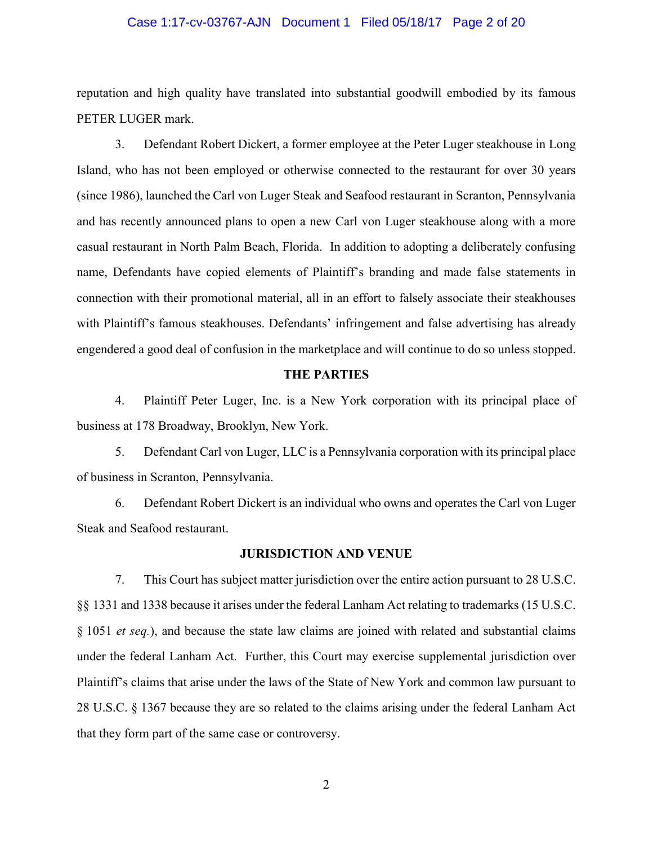### Case 1:17-cv-03767-AJN Document 1 Filed 05/18/17 Page 2 of 20

reputation and high quality have translated into substantial goodwill embodied by its famous PETER LUGER mark.

3. Defendant Robert Dickert, a former employee at the Peter Luger steakhouse in Long Island, who has not been employed or otherwise connected to the restaurant for over 30 years (since 1986), launched the Carl von Luger Steak and Seafood restaurant in Scranton, Pennsylvania and has recently announced plans to open a new Carl von Luger steakhouse along with a more casual restaurant in North Palm Beach, Florida. In addition to adopting a deliberately confusing name, Defendants have copied elements of Plaintiff's branding and made false statements in connection with their promotional material, all in an effort to falsely associate their steakhouses with Plaintiff's famous steakhouses. Defendants' infringement and false advertising has already engendered a good deal of confusion in the marketplace and will continue to do so unless stopped.

### **THE PARTIES**

4. Plaintiff Peter Luger, Inc. is a New York corporation with its principal place of business at 178 Broadway, Brooklyn, New York.

5. Defendant Carl von Luger, LLC is a Pennsylvania corporation with its principal place of business in Scranton, Pennsylvania.

6. Defendant Robert Dickert is an individual who owns and operates the Carl von Luger Steak and Seafood restaurant.

#### **JURISDICTION AND VENUE**

7. This Court has subject matter jurisdiction over the entire action pursuant to 28 U.S.C. §§ 1331 and 1338 because it arises under the federal Lanham Act relating to trademarks (15 U.S.C. § 1051 *et seq.*), and because the state law claims are joined with related and substantial claims under the federal Lanham Act. Further, this Court may exercise supplemental jurisdiction over Plaintiff's claims that arise under the laws of the State of New York and common law pursuant to 28 U.S.C. § 1367 because they are so related to the claims arising under the federal Lanham Act that they form part of the same case or controversy.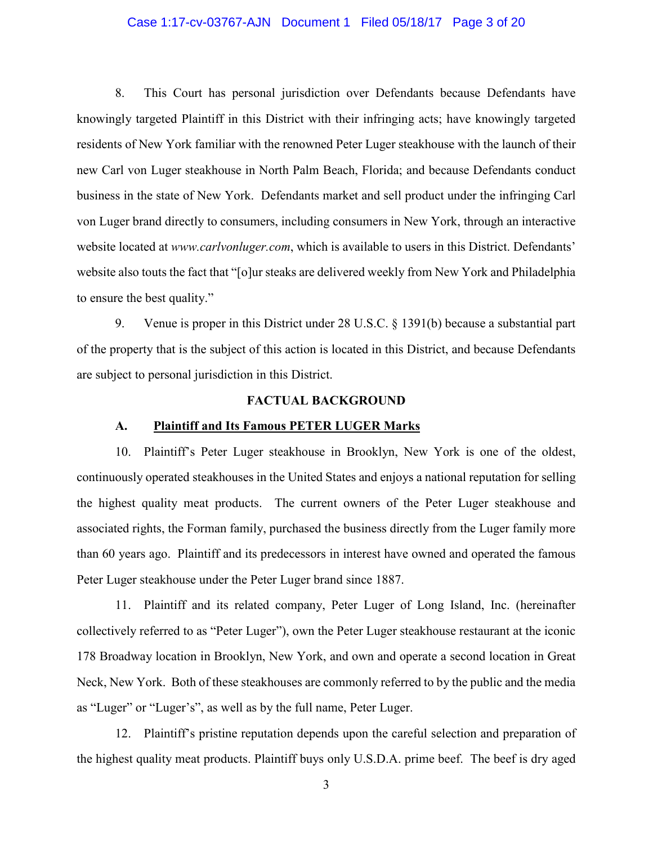### Case 1:17-cv-03767-AJN Document 1 Filed 05/18/17 Page 3 of 20

8. This Court has personal jurisdiction over Defendants because Defendants have knowingly targeted Plaintiff in this District with their infringing acts; have knowingly targeted residents of New York familiar with the renowned Peter Luger steakhouse with the launch of their new Carl von Luger steakhouse in North Palm Beach, Florida; and because Defendants conduct business in the state of New York. Defendants market and sell product under the infringing Carl von Luger brand directly to consumers, including consumers in New York, through an interactive website located at *www.carlvonluger.com*, which is available to users in this District. Defendants' website also touts the fact that "[o]ur steaks are delivered weekly from New York and Philadelphia to ensure the best quality."

9. Venue is proper in this District under 28 U.S.C. § 1391(b) because a substantial part of the property that is the subject of this action is located in this District, and because Defendants are subject to personal jurisdiction in this District.

#### **FACTUAL BACKGROUND**

### **A. Plaintiff and Its Famous PETER LUGER Marks**

10. Plaintiff's Peter Luger steakhouse in Brooklyn, New York is one of the oldest, continuously operated steakhouses in the United States and enjoys a national reputation for selling the highest quality meat products. The current owners of the Peter Luger steakhouse and associated rights, the Forman family, purchased the business directly from the Luger family more than 60 years ago. Plaintiff and its predecessors in interest have owned and operated the famous Peter Luger steakhouse under the Peter Luger brand since 1887.

11. Plaintiff and its related company, Peter Luger of Long Island, Inc. (hereinafter collectively referred to as "Peter Luger"), own the Peter Luger steakhouse restaurant at the iconic 178 Broadway location in Brooklyn, New York, and own and operate a second location in Great Neck, New York. Both of these steakhouses are commonly referred to by the public and the media as "Luger" or "Luger's", as well as by the full name, Peter Luger.

12. Plaintiff's pristine reputation depends upon the careful selection and preparation of the highest quality meat products. Plaintiff buys only U.S.D.A. prime beef. The beef is dry aged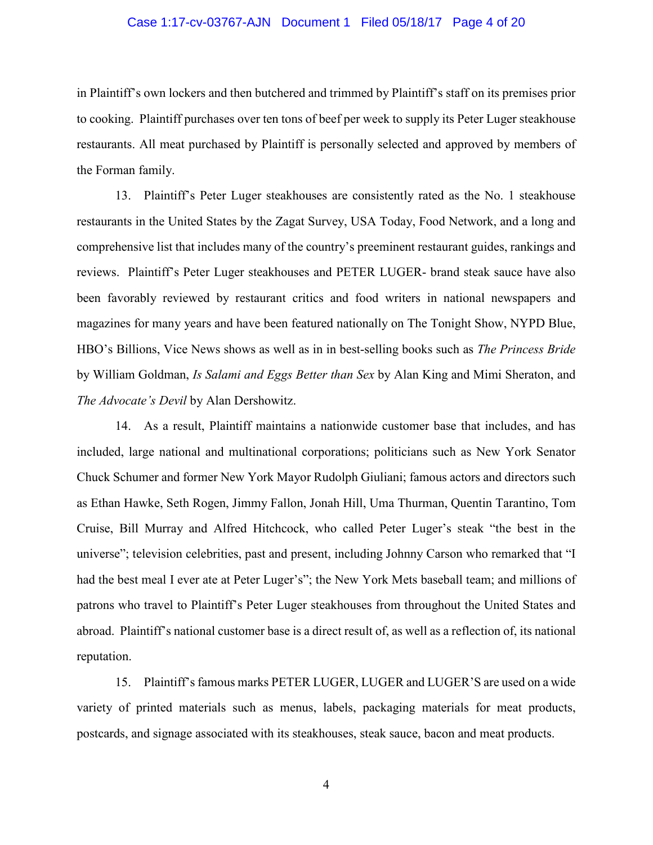### Case 1:17-cv-03767-AJN Document 1 Filed 05/18/17 Page 4 of 20

in Plaintiff's own lockers and then butchered and trimmed by Plaintiff's staff on its premises prior to cooking. Plaintiff purchases over ten tons of beef per week to supply its Peter Luger steakhouse restaurants. All meat purchased by Plaintiff is personally selected and approved by members of the Forman family.

13. Plaintiff's Peter Luger steakhouses are consistently rated as the No. 1 steakhouse restaurants in the United States by the Zagat Survey, USA Today, Food Network, and a long and comprehensive list that includes many of the country's preeminent restaurant guides, rankings and reviews. Plaintiff's Peter Luger steakhouses and PETER LUGER- brand steak sauce have also been favorably reviewed by restaurant critics and food writers in national newspapers and magazines for many years and have been featured nationally on The Tonight Show, NYPD Blue, HBO's Billions, Vice News shows as well as in in best-selling books such as *The Princess Bride* by William Goldman, *Is Salami and Eggs Better than Sex* by Alan King and Mimi Sheraton, and *The Advocate's Devil* by Alan Dershowitz.

14. As a result, Plaintiff maintains a nationwide customer base that includes, and has included, large national and multinational corporations; politicians such as New York Senator Chuck Schumer and former New York Mayor Rudolph Giuliani; famous actors and directors such as Ethan Hawke, Seth Rogen, Jimmy Fallon, Jonah Hill, Uma Thurman, Quentin Tarantino, Tom Cruise, Bill Murray and Alfred Hitchcock, who called Peter Luger's steak "the best in the universe"; television celebrities, past and present, including Johnny Carson who remarked that "I had the best meal I ever ate at Peter Luger's"; the New York Mets baseball team; and millions of patrons who travel to Plaintiff's Peter Luger steakhouses from throughout the United States and abroad. Plaintiff's national customer base is a direct result of, as well as a reflection of, its national reputation.

15. Plaintiff's famous marks PETER LUGER, LUGER and LUGER'S are used on a wide variety of printed materials such as menus, labels, packaging materials for meat products, postcards, and signage associated with its steakhouses, steak sauce, bacon and meat products.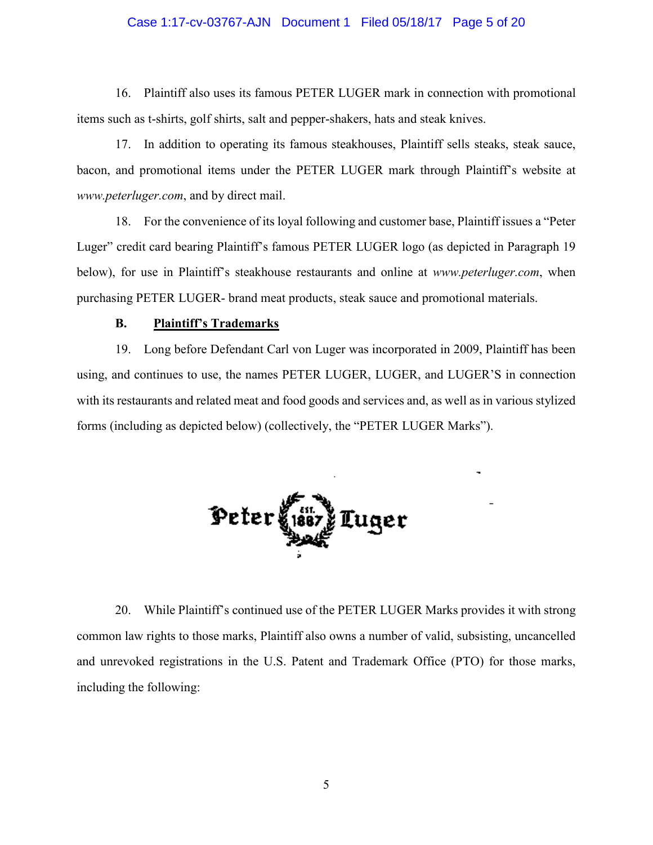### Case 1:17-cv-03767-AJN Document 1 Filed 05/18/17 Page 5 of 20

16. Plaintiff also uses its famous PETER LUGER mark in connection with promotional items such as t-shirts, golf shirts, salt and pepper-shakers, hats and steak knives.

17. In addition to operating its famous steakhouses, Plaintiff sells steaks, steak sauce, bacon, and promotional items under the PETER LUGER mark through Plaintiff's website at *www.peterluger.com*, and by direct mail.

18. For the convenience of its loyal following and customer base, Plaintiff issues a "Peter Luger" credit card bearing Plaintiff's famous PETER LUGER logo (as depicted in Paragraph 19 below), for use in Plaintiff's steakhouse restaurants and online at *www.peterluger.com*, when purchasing PETER LUGER- brand meat products, steak sauce and promotional materials.

# **B. Plaintiff's Trademarks**

19. Long before Defendant Carl von Luger was incorporated in 2009, Plaintiff has been using, and continues to use, the names PETER LUGER, LUGER, and LUGER'S in connection with its restaurants and related meat and food goods and services and, as well as in various stylized forms (including as depicted below) (collectively, the "PETER LUGER Marks").



20. While Plaintiff's continued use of the PETER LUGER Marks provides it with strong common law rights to those marks, Plaintiff also owns a number of valid, subsisting, uncancelled and unrevoked registrations in the U.S. Patent and Trademark Office (PTO) for those marks, including the following: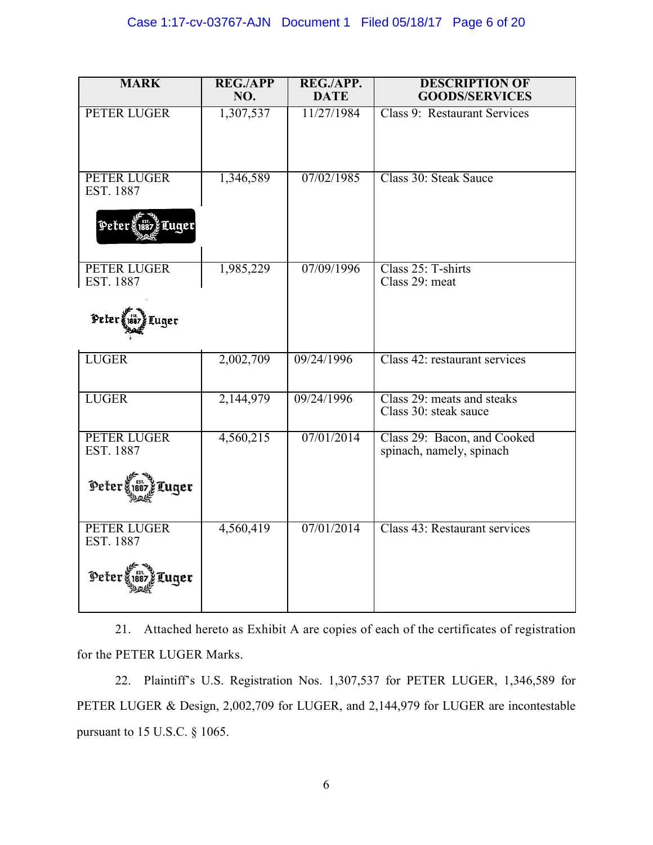| <b>MARK</b>                                               | <b>REG./APP</b><br>NO. | REG./APP.<br><b>DATE</b> | <b>DESCRIPTION OF</b><br><b>GOODS/SERVICES</b>          |
|-----------------------------------------------------------|------------------------|--------------------------|---------------------------------------------------------|
| PETER LUGER                                               | 1,307,537              | 11/27/1984               | Class 9: Restaurant Services                            |
| PETER LUGER<br>EST. 1887<br>Peter<br>Luger                | 1,346,589              | 07/02/1985               | Class 30: Steak Sauce                                   |
| PETER LUGER<br>EST. 1887<br>$Peter$ $88.$<br>Tuger        | 1,985,229              | 07/09/1996               | Class 25: T-shirts<br>Class 29: meat                    |
| <b>LUGER</b>                                              | 2,002,709              | 09/24/1996               | Class 42: restaurant services                           |
| <b>LUGER</b>                                              | 2,144,979              | 09/24/1996               | Class 29: meats and steaks<br>Class 30: steak sauce     |
| PETER LUGER<br>EST. 1887<br>Peters<br>Luger               | 4,560,215              | 07/01/2014               | Class 29: Bacon, and Cooked<br>spinach, namely, spinach |
| <b>PETER LUGER</b><br>EST. 1887<br>Peter \$1887<br>FLuqer | 4,560,419              | 07/01/2014               | Class 43: Restaurant services                           |

21. Attached hereto as Exhibit A are copies of each of the certificates of registration for the PETER LUGER Marks.

22. Plaintiff's U.S. Registration Nos. 1,307,537 for PETER LUGER, 1,346,589 for PETER LUGER & Design, 2,002,709 for LUGER, and 2,144,979 for LUGER are incontestable pursuant to 15 U.S.C. § 1065.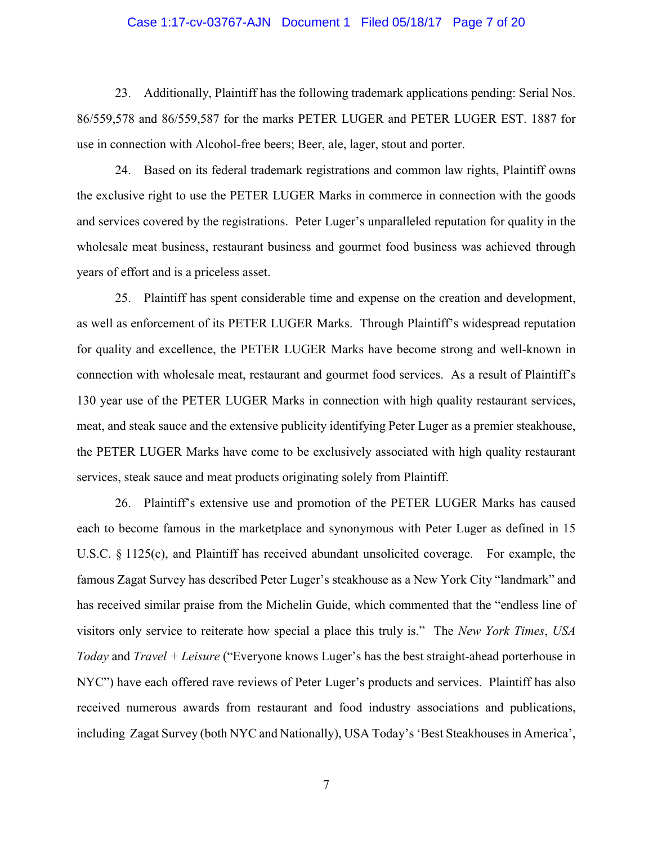### Case 1:17-cv-03767-AJN Document 1 Filed 05/18/17 Page 7 of 20

23. Additionally, Plaintiff has the following trademark applications pending: Serial Nos. 86/559,578 and 86/559,587 for the marks PETER LUGER and PETER LUGER EST. 1887 for use in connection with Alcohol-free beers; Beer, ale, lager, stout and porter.

24. Based on its federal trademark registrations and common law rights, Plaintiff owns the exclusive right to use the PETER LUGER Marks in commerce in connection with the goods and services covered by the registrations. Peter Luger's unparalleled reputation for quality in the wholesale meat business, restaurant business and gourmet food business was achieved through years of effort and is a priceless asset.

25. Plaintiff has spent considerable time and expense on the creation and development, as well as enforcement of its PETER LUGER Marks. Through Plaintiff's widespread reputation for quality and excellence, the PETER LUGER Marks have become strong and well-known in connection with wholesale meat, restaurant and gourmet food services. As a result of Plaintiff's 130 year use of the PETER LUGER Marks in connection with high quality restaurant services, meat, and steak sauce and the extensive publicity identifying Peter Luger as a premier steakhouse, the PETER LUGER Marks have come to be exclusively associated with high quality restaurant services, steak sauce and meat products originating solely from Plaintiff.

26. Plaintiff's extensive use and promotion of the PETER LUGER Marks has caused each to become famous in the marketplace and synonymous with Peter Luger as defined in 15 U.S.C. § 1125(c), and Plaintiff has received abundant unsolicited coverage. For example, the famous Zagat Survey has described Peter Luger's steakhouse as a New York City "landmark" and has received similar praise from the Michelin Guide, which commented that the "endless line of visitors only service to reiterate how special a place this truly is." The *New York Times*, *USA Today* and *Travel + Leisure* ("Everyone knows Luger's has the best straight-ahead porterhouse in NYC") have each offered rave reviews of Peter Luger's products and services. Plaintiff has also received numerous awards from restaurant and food industry associations and publications, including Zagat Survey (both NYC and Nationally), USA Today's 'Best Steakhouses in America',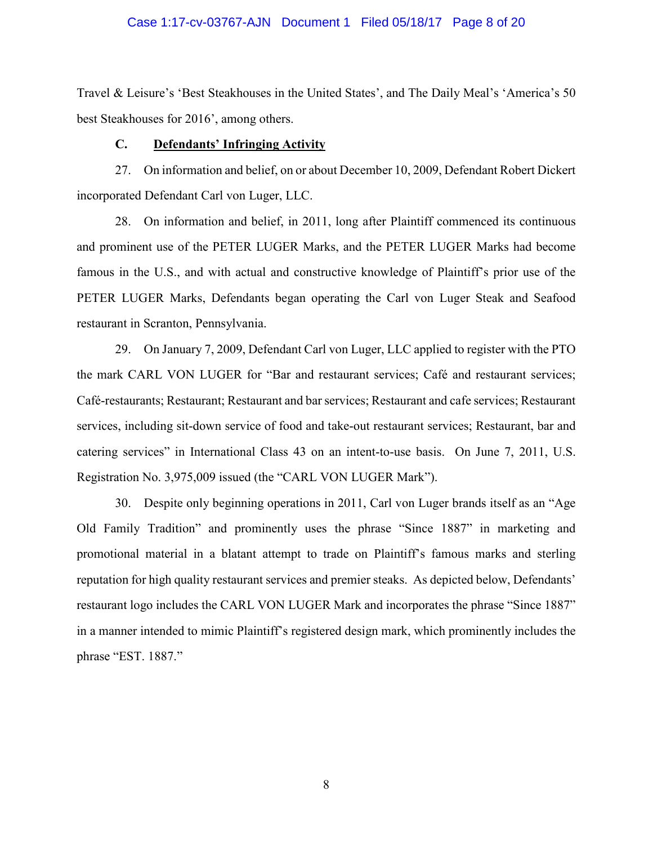### Case 1:17-cv-03767-AJN Document 1 Filed 05/18/17 Page 8 of 20

Travel & Leisure's 'Best Steakhouses in the United States', and The Daily Meal's 'America's 50 best Steakhouses for 2016', among others.

#### **C. Defendants' Infringing Activity**

27. On information and belief, on or about December 10, 2009, Defendant Robert Dickert incorporated Defendant Carl von Luger, LLC.

28. On information and belief, in 2011, long after Plaintiff commenced its continuous and prominent use of the PETER LUGER Marks, and the PETER LUGER Marks had become famous in the U.S., and with actual and constructive knowledge of Plaintiff's prior use of the PETER LUGER Marks, Defendants began operating the Carl von Luger Steak and Seafood restaurant in Scranton, Pennsylvania.

29. On January 7, 2009, Defendant Carl von Luger, LLC applied to register with the PTO the mark CARL VON LUGER for "Bar and restaurant services; Café and restaurant services; Café-restaurants; Restaurant; Restaurant and bar services; Restaurant and cafe services; Restaurant services, including sit-down service of food and take-out restaurant services; Restaurant, bar and catering services" in International Class 43 on an intent-to-use basis. On June 7, 2011, U.S. Registration No. 3,975,009 issued (the "CARL VON LUGER Mark").

30. Despite only beginning operations in 2011, Carl von Luger brands itself as an "Age Old Family Tradition" and prominently uses the phrase "Since 1887" in marketing and promotional material in a blatant attempt to trade on Plaintiff's famous marks and sterling reputation for high quality restaurant services and premier steaks. As depicted below, Defendants' restaurant logo includes the CARL VON LUGER Mark and incorporates the phrase "Since 1887" in a manner intended to mimic Plaintiff's registered design mark, which prominently includes the phrase "EST. 1887."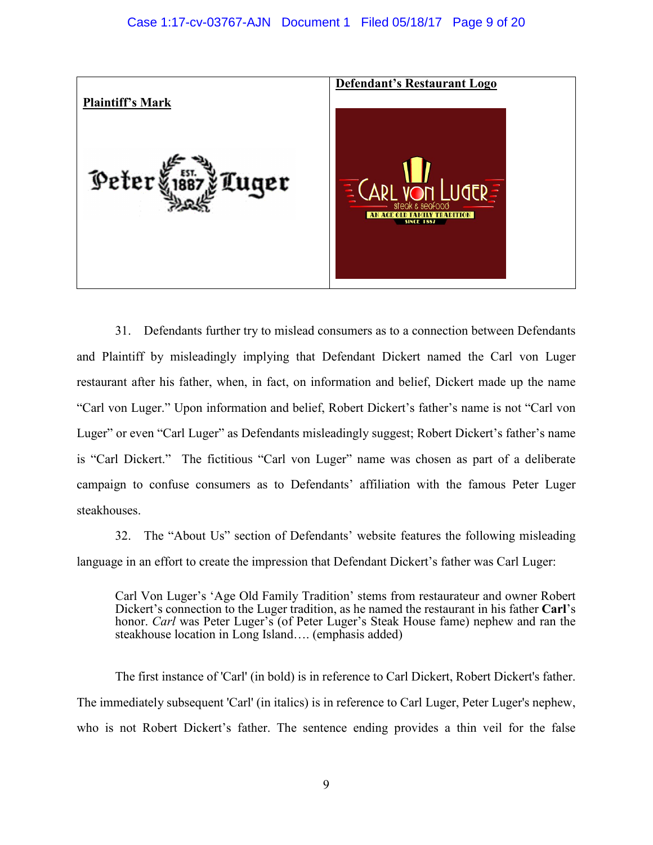

31. Defendants further try to mislead consumers as to a connection between Defendants and Plaintiff by misleadingly implying that Defendant Dickert named the Carl von Luger restaurant after his father, when, in fact, on information and belief, Dickert made up the name "Carl von Luger." Upon information and belief, Robert Dickert's father's name is not "Carl von Luger" or even "Carl Luger" as Defendants misleadingly suggest; Robert Dickert's father's name is "Carl Dickert." The fictitious "Carl von Luger" name was chosen as part of a deliberate campaign to confuse consumers as to Defendants' affiliation with the famous Peter Luger steakhouses.

32. The "About Us" section of Defendants' website features the following misleading language in an effort to create the impression that Defendant Dickert's father was Carl Luger:

Carl Von Luger's 'Age Old Family Tradition' stems from restaurateur and owner Robert Dickert's connection to the Luger tradition, as he named the restaurant in his father **Carl**'s honor. *Carl* was Peter Luger's (of Peter Luger's Steak House fame) nephew and ran the steakhouse location in Long Island…. (emphasis added)

The first instance of 'Carl' (in bold) is in reference to Carl Dickert, Robert Dickert's father. The immediately subsequent 'Carl' (in italics) is in reference to Carl Luger, Peter Luger's nephew, who is not Robert Dickert's father. The sentence ending provides a thin veil for the false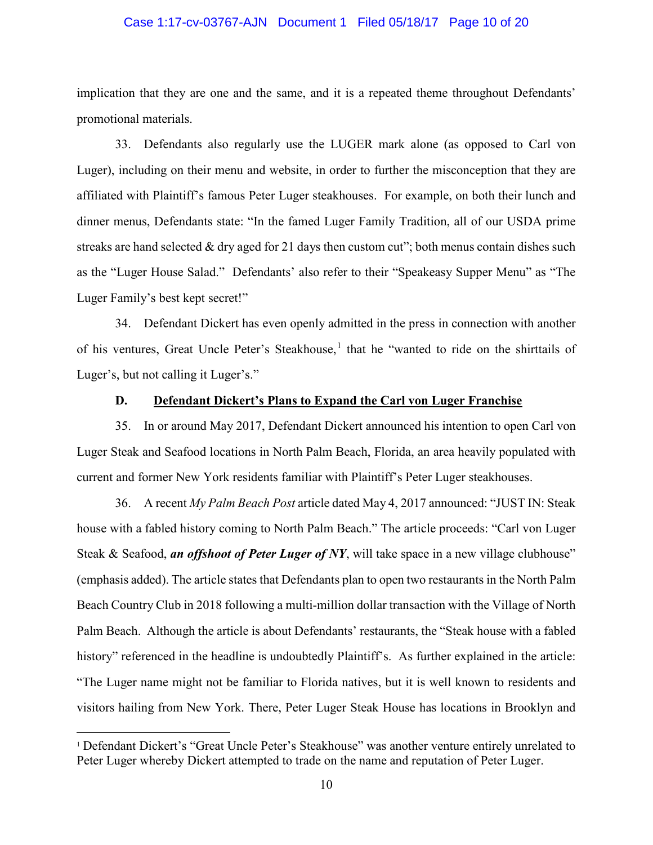### Case 1:17-cv-03767-AJN Document 1 Filed 05/18/17 Page 10 of 20

implication that they are one and the same, and it is a repeated theme throughout Defendants' promotional materials.

33. Defendants also regularly use the LUGER mark alone (as opposed to Carl von Luger), including on their menu and website, in order to further the misconception that they are affiliated with Plaintiff's famous Peter Luger steakhouses. For example, on both their lunch and dinner menus, Defendants state: "In the famed Luger Family Tradition, all of our USDA prime streaks are hand selected  $&$  dry aged for 21 days then custom cut"; both menus contain dishes such as the "Luger House Salad." Defendants' also refer to their "Speakeasy Supper Menu" as "The Luger Family's best kept secret!"

34. Defendant Dickert has even openly admitted in the press in connection with another of his ventures, Great Uncle Peter's Steakhouse, [1](#page-9-0) that he "wanted to ride on the shirttails of Luger's, but not calling it Luger's."

### **D. Defendant Dickert's Plans to Expand the Carl von Luger Franchise**

35. In or around May 2017, Defendant Dickert announced his intention to open Carl von Luger Steak and Seafood locations in North Palm Beach, Florida, an area heavily populated with current and former New York residents familiar with Plaintiff's Peter Luger steakhouses.

36. A recent *My Palm Beach Post* article dated May 4, 2017 announced: "JUST IN: Steak house with a fabled history coming to North Palm Beach." The article proceeds: "Carl von Luger Steak & Seafood, *an offshoot of Peter Luger of NY*, will take space in a new village clubhouse" (emphasis added). The article states that Defendants plan to open two restaurants in the North Palm Beach Country Club in 2018 following a multi-million dollar transaction with the Village of North Palm Beach. Although the article is about Defendants' restaurants, the "Steak house with a fabled history" referenced in the headline is undoubtedly Plaintiff's. As further explained in the article: "The Luger name might not be familiar to Florida natives, but it is well known to residents and visitors hailing from New York. There, Peter Luger Steak House has locations in Brooklyn and

<span id="page-9-0"></span><sup>&</sup>lt;sup>1</sup> Defendant Dickert's "Great Uncle Peter's Steakhouse" was another venture entirely unrelated to Peter Luger whereby Dickert attempted to trade on the name and reputation of Peter Luger.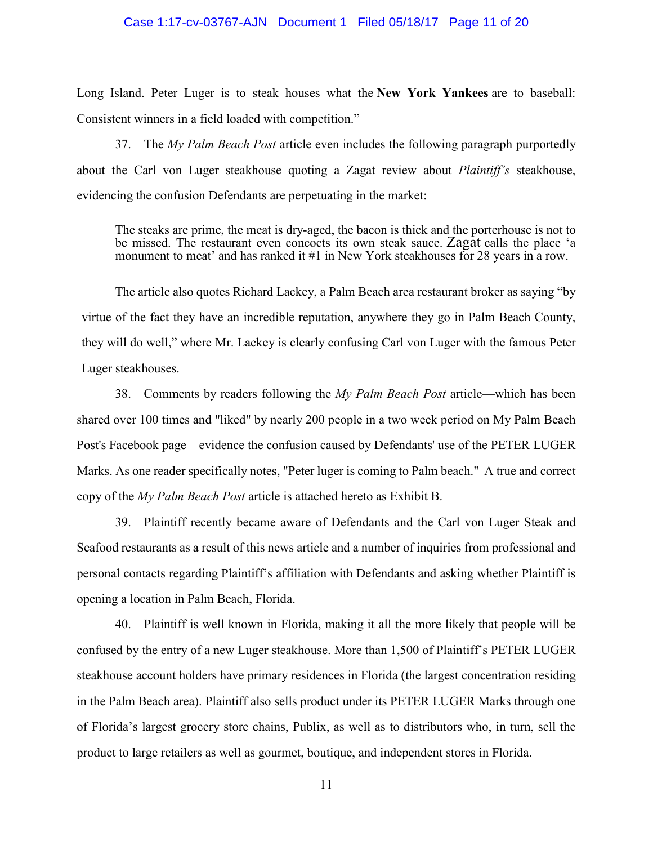### Case 1:17-cv-03767-AJN Document 1 Filed 05/18/17 Page 11 of 20

Long Island. Peter Luger is to steak houses what the **New York Yankees** are to baseball: Consistent winners in a field loaded with competition."

37. The *My Palm Beach Post* article even includes the following paragraph purportedly about the Carl von Luger steakhouse quoting a Zagat review about *Plaintiff's* steakhouse, evidencing the confusion Defendants are perpetuating in the market:

The steaks are prime, the meat is dry-aged, the bacon is thick and the porterhouse is not to be missed. The restaurant even concocts its own steak sauce. Zagat calls the place 'a monument to meat' and has ranked it #1 in New York steakhouses for 28 years in a row.

The article also quotes Richard Lackey, a Palm Beach area restaurant broker as saying "by virtue of the fact they have an incredible reputation, anywhere they go in Palm Beach County, they will do well," where Mr. Lackey is clearly confusing Carl von Luger with the famous Peter Luger steakhouses.

38. Comments by readers following the *My Palm Beach Post* article—which has been shared over 100 times and "liked" by nearly 200 people in a two week period on My Palm Beach Post's Facebook page—evidence the confusion caused by Defendants' use of the PETER LUGER Marks. As one reader specifically notes, "Peter luger is coming to Palm beach." A true and correct copy of the *My Palm Beach Post* article is attached hereto as Exhibit B.

39. Plaintiff recently became aware of Defendants and the Carl von Luger Steak and Seafood restaurants as a result of this news article and a number of inquiries from professional and personal contacts regarding Plaintiff's affiliation with Defendants and asking whether Plaintiff is opening a location in Palm Beach, Florida.

40. Plaintiff is well known in Florida, making it all the more likely that people will be confused by the entry of a new Luger steakhouse. More than 1,500 of Plaintiff's PETER LUGER steakhouse account holders have primary residences in Florida (the largest concentration residing in the Palm Beach area). Plaintiff also sells product under its PETER LUGER Marks through one of Florida's largest grocery store chains, Publix, as well as to distributors who, in turn, sell the product to large retailers as well as gourmet, boutique, and independent stores in Florida.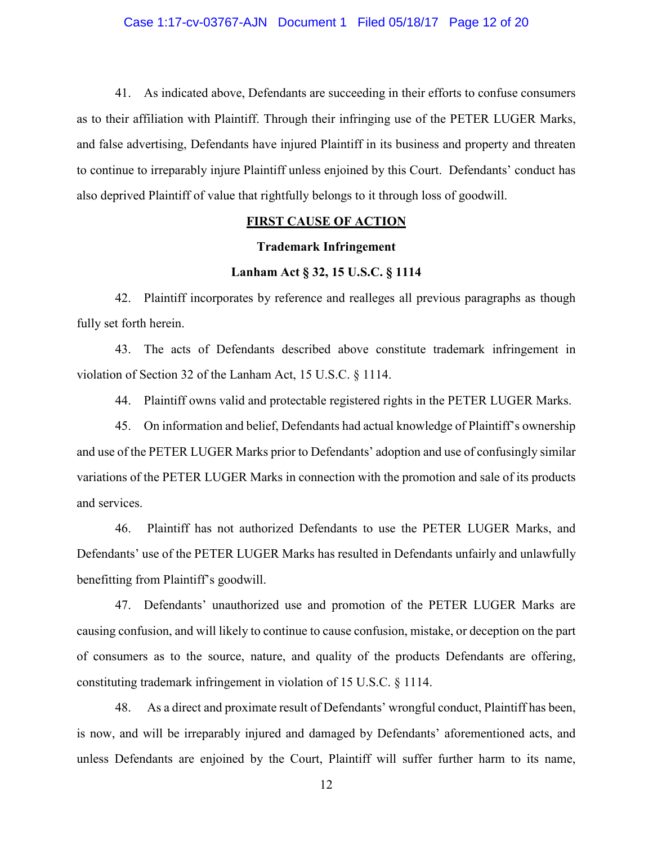41. As indicated above, Defendants are succeeding in their efforts to confuse consumers as to their affiliation with Plaintiff. Through their infringing use of the PETER LUGER Marks, and false advertising, Defendants have injured Plaintiff in its business and property and threaten to continue to irreparably injure Plaintiff unless enjoined by this Court. Defendants' conduct has also deprived Plaintiff of value that rightfully belongs to it through loss of goodwill.

### **FIRST CAUSE OF ACTION**

# **Trademark Infringement**

# **Lanham Act § 32, 15 U.S.C. § 1114**

42. Plaintiff incorporates by reference and realleges all previous paragraphs as though fully set forth herein.

43. The acts of Defendants described above constitute trademark infringement in violation of Section 32 of the Lanham Act, 15 U.S.C. § 1114.

44. Plaintiff owns valid and protectable registered rights in the PETER LUGER Marks.

45. On information and belief, Defendants had actual knowledge of Plaintiff's ownership and use of the PETER LUGER Marks prior to Defendants' adoption and use of confusingly similar variations of the PETER LUGER Marks in connection with the promotion and sale of its products and services.

46. Plaintiff has not authorized Defendants to use the PETER LUGER Marks, and Defendants' use of the PETER LUGER Marks has resulted in Defendants unfairly and unlawfully benefitting from Plaintiff's goodwill.

47. Defendants' unauthorized use and promotion of the PETER LUGER Marks are causing confusion, and will likely to continue to cause confusion, mistake, or deception on the part of consumers as to the source, nature, and quality of the products Defendants are offering, constituting trademark infringement in violation of 15 U.S.C. § 1114.

48. As a direct and proximate result of Defendants' wrongful conduct, Plaintiff has been, is now, and will be irreparably injured and damaged by Defendants' aforementioned acts, and unless Defendants are enjoined by the Court, Plaintiff will suffer further harm to its name,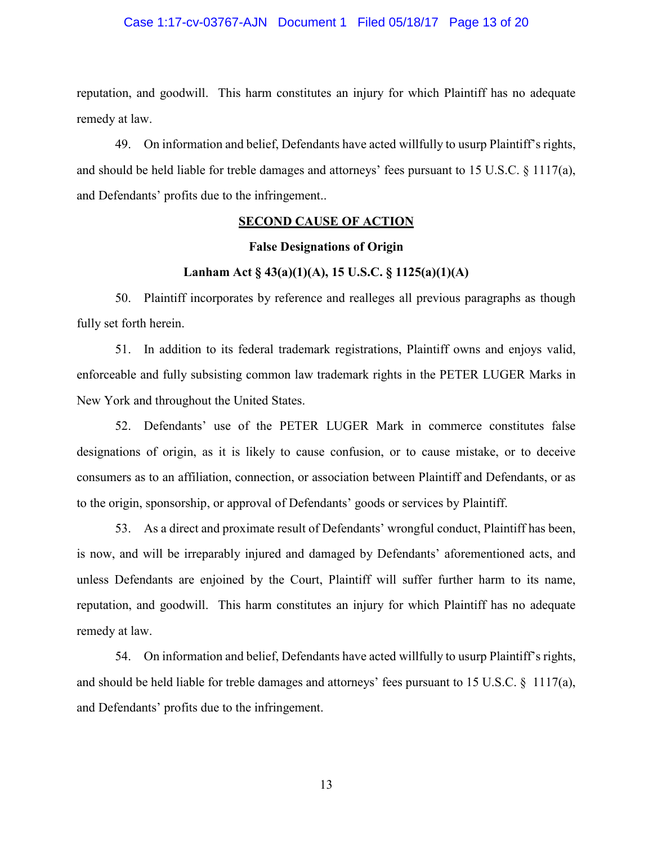### Case 1:17-cv-03767-AJN Document 1 Filed 05/18/17 Page 13 of 20

reputation, and goodwill. This harm constitutes an injury for which Plaintiff has no adequate remedy at law.

49. On information and belief, Defendants have acted willfully to usurp Plaintiff's rights, and should be held liable for treble damages and attorneys' fees pursuant to 15 U.S.C. § 1117(a), and Defendants' profits due to the infringement..

### **SECOND CAUSE OF ACTION**

### **False Designations of Origin**

# **Lanham Act § 43(a)(1)(A), 15 U.S.C. § 1125(a)(1)(A)**

50. Plaintiff incorporates by reference and realleges all previous paragraphs as though fully set forth herein.

51. In addition to its federal trademark registrations, Plaintiff owns and enjoys valid, enforceable and fully subsisting common law trademark rights in the PETER LUGER Marks in New York and throughout the United States.

52. Defendants' use of the PETER LUGER Mark in commerce constitutes false designations of origin, as it is likely to cause confusion, or to cause mistake, or to deceive consumers as to an affiliation, connection, or association between Plaintiff and Defendants, or as to the origin, sponsorship, or approval of Defendants' goods or services by Plaintiff.

53. As a direct and proximate result of Defendants' wrongful conduct, Plaintiff has been, is now, and will be irreparably injured and damaged by Defendants' aforementioned acts, and unless Defendants are enjoined by the Court, Plaintiff will suffer further harm to its name, reputation, and goodwill. This harm constitutes an injury for which Plaintiff has no adequate remedy at law.

54. On information and belief, Defendants have acted willfully to usurp Plaintiff's rights, and should be held liable for treble damages and attorneys' fees pursuant to 15 U.S.C. § 1117(a), and Defendants' profits due to the infringement.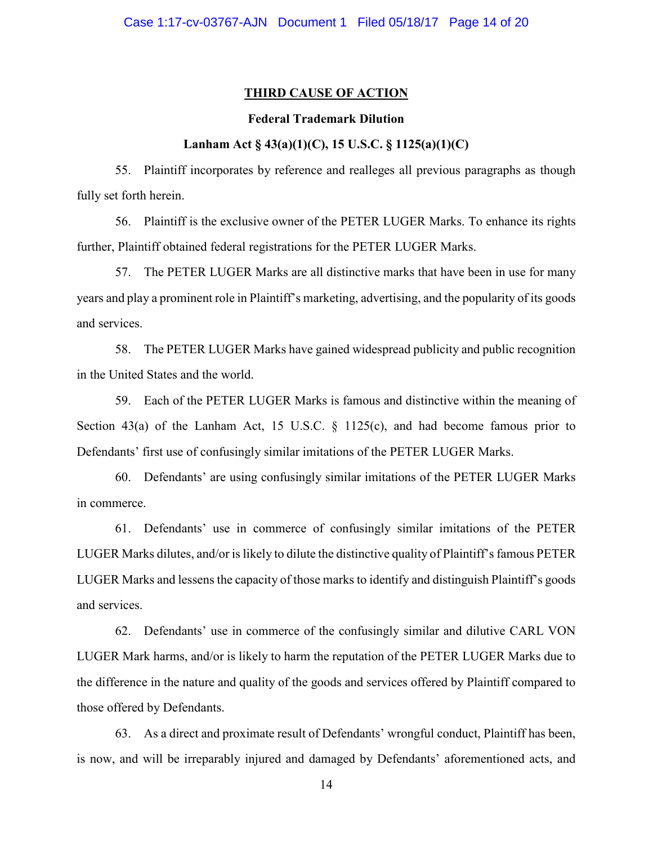# **THIRD CAUSE OF ACTION**

### **Federal Trademark Dilution**

# **Lanham Act § 43(a)(1)(C), 15 U.S.C. § 1125(a)(1)(C)**

55. Plaintiff incorporates by reference and realleges all previous paragraphs as though fully set forth herein.

56. Plaintiff is the exclusive owner of the PETER LUGER Marks. To enhance its rights further, Plaintiff obtained federal registrations for the PETER LUGER Marks.

57. The PETER LUGER Marks are all distinctive marks that have been in use for many years and play a prominent role in Plaintiff's marketing, advertising, and the popularity of its goods and services.

58. The PETER LUGER Marks have gained widespread publicity and public recognition in the United States and the world.

59. Each of the PETER LUGER Marks is famous and distinctive within the meaning of Section 43(a) of the Lanham Act, 15 U.S.C.  $\S$  1125(c), and had become famous prior to Defendants' first use of confusingly similar imitations of the PETER LUGER Marks.

60. Defendants' are using confusingly similar imitations of the PETER LUGER Marks in commerce.

61. Defendants' use in commerce of confusingly similar imitations of the PETER LUGER Marks dilutes, and/or is likely to dilute the distinctive quality of Plaintiff's famous PETER LUGER Marks and lessens the capacity of those marks to identify and distinguish Plaintiff's goods and services.

62. Defendants' use in commerce of the confusingly similar and dilutive CARL VON LUGER Mark harms, and/or is likely to harm the reputation of the PETER LUGER Marks due to the difference in the nature and quality of the goods and services offered by Plaintiff compared to those offered by Defendants.

63. As a direct and proximate result of Defendants' wrongful conduct, Plaintiff has been, is now, and will be irreparably injured and damaged by Defendants' aforementioned acts, and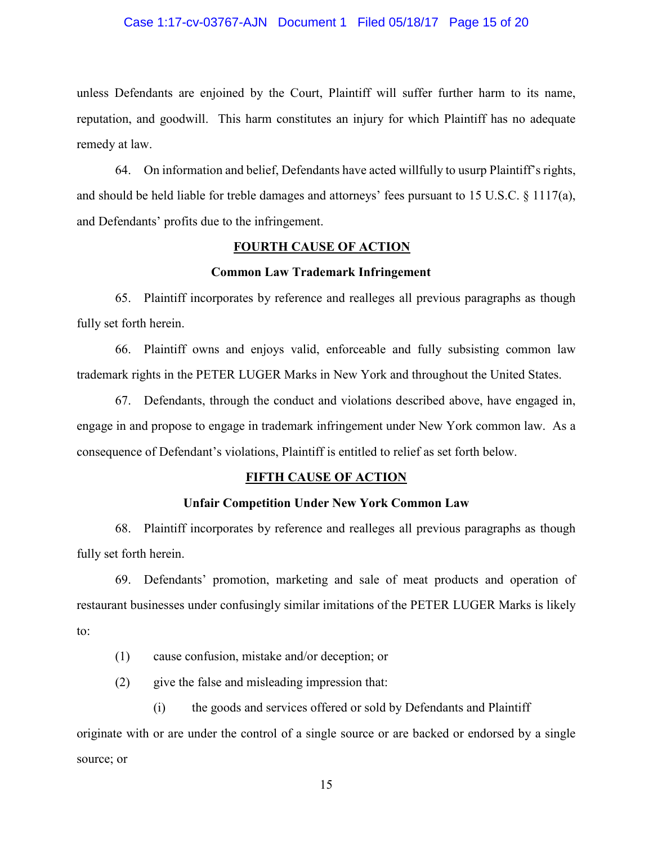### Case 1:17-cv-03767-AJN Document 1 Filed 05/18/17 Page 15 of 20

unless Defendants are enjoined by the Court, Plaintiff will suffer further harm to its name, reputation, and goodwill. This harm constitutes an injury for which Plaintiff has no adequate remedy at law.

64. On information and belief, Defendants have acted willfully to usurp Plaintiff's rights, and should be held liable for treble damages and attorneys' fees pursuant to 15 U.S.C. § 1117(a), and Defendants' profits due to the infringement.

# **FOURTH CAUSE OF ACTION**

### **Common Law Trademark Infringement**

65. Plaintiff incorporates by reference and realleges all previous paragraphs as though fully set forth herein.

66. Plaintiff owns and enjoys valid, enforceable and fully subsisting common law trademark rights in the PETER LUGER Marks in New York and throughout the United States.

67. Defendants, through the conduct and violations described above, have engaged in, engage in and propose to engage in trademark infringement under New York common law. As a consequence of Defendant's violations, Plaintiff is entitled to relief as set forth below.

# **FIFTH CAUSE OF ACTION**

### **Unfair Competition Under New York Common Law**

68. Plaintiff incorporates by reference and realleges all previous paragraphs as though fully set forth herein.

69. Defendants' promotion, marketing and sale of meat products and operation of restaurant businesses under confusingly similar imitations of the PETER LUGER Marks is likely to:

(1) cause confusion, mistake and/or deception; or

(2) give the false and misleading impression that:

(i) the goods and services offered or sold by Defendants and Plaintiff originate with or are under the control of a single source or are backed or endorsed by a single source; or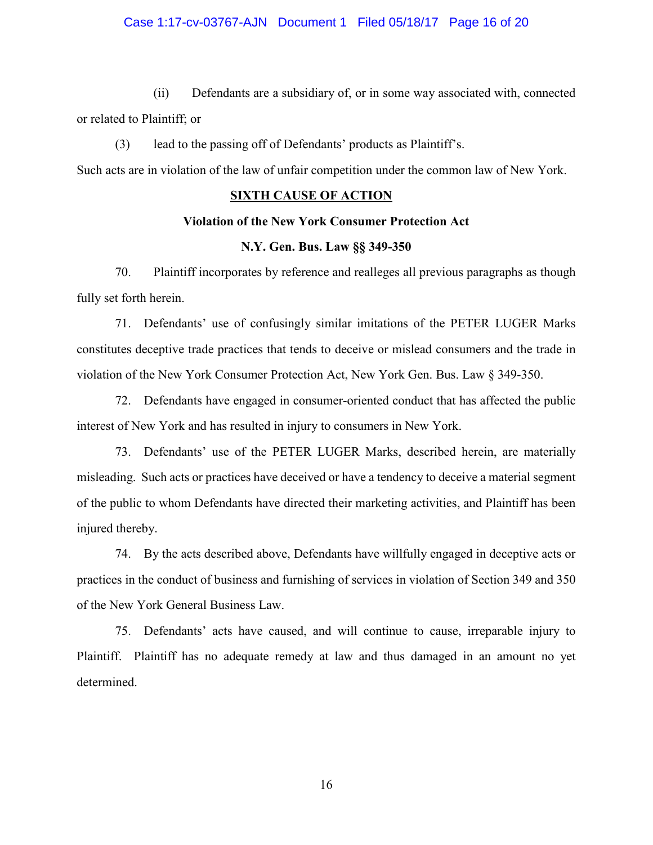### Case 1:17-cv-03767-AJN Document 1 Filed 05/18/17 Page 16 of 20

(ii) Defendants are a subsidiary of, or in some way associated with, connected or related to Plaintiff; or

(3) lead to the passing off of Defendants' products as Plaintiff's.

Such acts are in violation of the law of unfair competition under the common law of New York.

# **SIXTH CAUSE OF ACTION**

### **Violation of the New York Consumer Protection Act**

# **N.Y. Gen. Bus. Law §§ 349-350**

70. Plaintiff incorporates by reference and realleges all previous paragraphs as though fully set forth herein.

71. Defendants' use of confusingly similar imitations of the PETER LUGER Marks constitutes deceptive trade practices that tends to deceive or mislead consumers and the trade in violation of the New York Consumer Protection Act, New York Gen. Bus. Law § 349-350.

72. Defendants have engaged in consumer-oriented conduct that has affected the public interest of New York and has resulted in injury to consumers in New York.

73. Defendants' use of the PETER LUGER Marks, described herein, are materially misleading. Such acts or practices have deceived or have a tendency to deceive a material segment of the public to whom Defendants have directed their marketing activities, and Plaintiff has been injured thereby.

74. By the acts described above, Defendants have willfully engaged in deceptive acts or practices in the conduct of business and furnishing of services in violation of Section 349 and 350 of the New York General Business Law.

75. Defendants' acts have caused, and will continue to cause, irreparable injury to Plaintiff. Plaintiff has no adequate remedy at law and thus damaged in an amount no yet determined.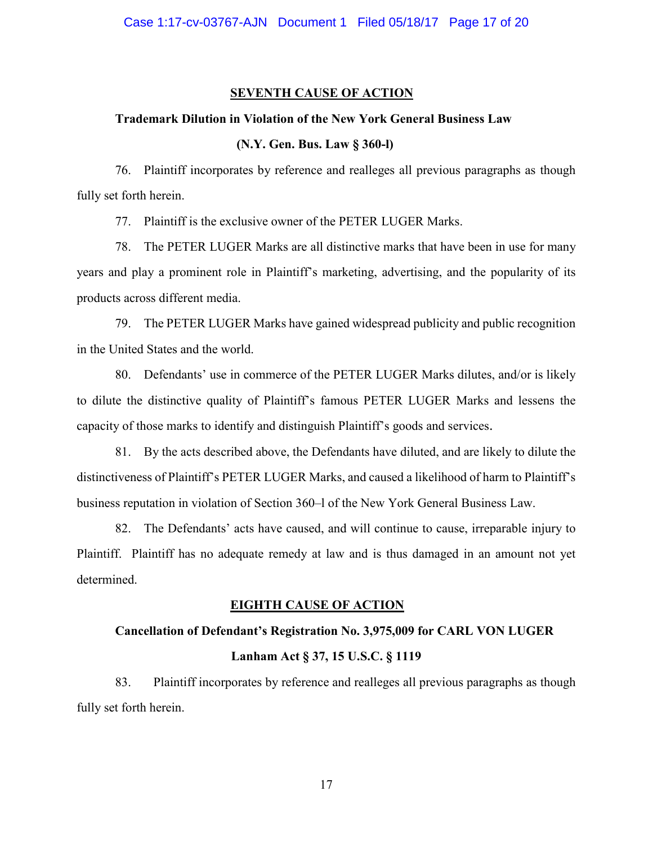### **SEVENTH CAUSE OF ACTION**

### **Trademark Dilution in Violation of the New York General Business Law**

# **(N.Y. Gen. Bus. Law § 360-l)**

76. Plaintiff incorporates by reference and realleges all previous paragraphs as though fully set forth herein.

77. Plaintiff is the exclusive owner of the PETER LUGER Marks.

78. The PETER LUGER Marks are all distinctive marks that have been in use for many years and play a prominent role in Plaintiff's marketing, advertising, and the popularity of its products across different media.

79. The PETER LUGER Marks have gained widespread publicity and public recognition in the United States and the world.

80. Defendants' use in commerce of the PETER LUGER Marks dilutes, and/or is likely to dilute the distinctive quality of Plaintiff's famous PETER LUGER Marks and lessens the capacity of those marks to identify and distinguish Plaintiff's goods and services.

81. By the acts described above, the Defendants have diluted, and are likely to dilute the distinctiveness of Plaintiff's PETER LUGER Marks, and caused a likelihood of harm to Plaintiff's business reputation in violation of Section 360–l of the New York General Business Law.

82. The Defendants' acts have caused, and will continue to cause, irreparable injury to Plaintiff. Plaintiff has no adequate remedy at law and is thus damaged in an amount not yet determined.

#### **EIGHTH CAUSE OF ACTION**

## **Cancellation of Defendant's Registration No. 3,975,009 for CARL VON LUGER**

## **Lanham Act § 37, 15 U.S.C. § 1119**

83. Plaintiff incorporates by reference and realleges all previous paragraphs as though fully set forth herein.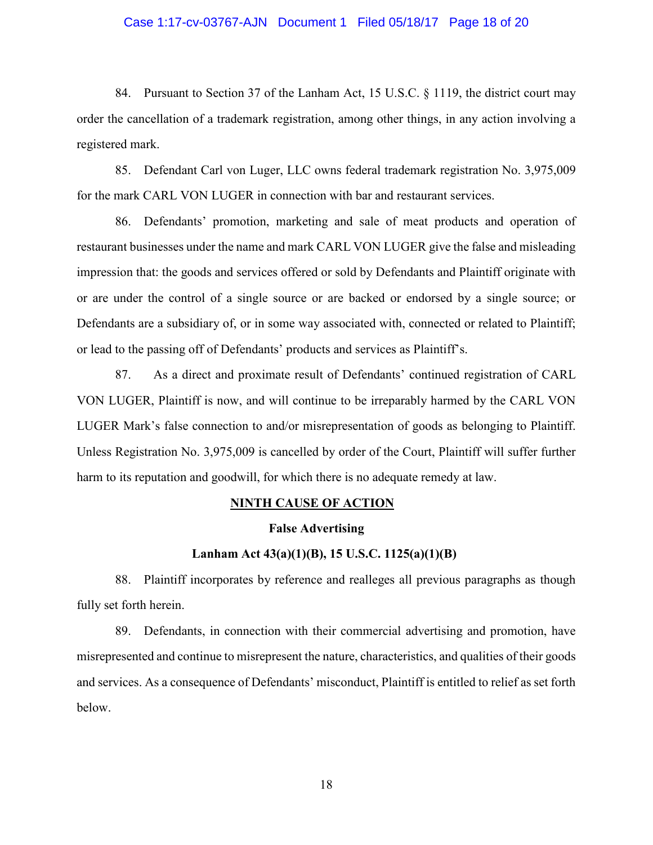### Case 1:17-cv-03767-AJN Document 1 Filed 05/18/17 Page 18 of 20

84. Pursuant to Section 37 of the Lanham Act, 15 U.S.C. § 1119, the district court may order the cancellation of a trademark registration, among other things, in any action involving a registered mark.

85. Defendant Carl von Luger, LLC owns federal trademark registration No. 3,975,009 for the mark CARL VON LUGER in connection with bar and restaurant services.

86. Defendants' promotion, marketing and sale of meat products and operation of restaurant businesses under the name and mark CARL VON LUGER give the false and misleading impression that: the goods and services offered or sold by Defendants and Plaintiff originate with or are under the control of a single source or are backed or endorsed by a single source; or Defendants are a subsidiary of, or in some way associated with, connected or related to Plaintiff; or lead to the passing off of Defendants' products and services as Plaintiff's.

87. As a direct and proximate result of Defendants' continued registration of CARL VON LUGER, Plaintiff is now, and will continue to be irreparably harmed by the CARL VON LUGER Mark's false connection to and/or misrepresentation of goods as belonging to Plaintiff. Unless Registration No. 3,975,009 is cancelled by order of the Court, Plaintiff will suffer further harm to its reputation and goodwill, for which there is no adequate remedy at law.

# **NINTH CAUSE OF ACTION**

# **False Advertising**

# **Lanham Act 43(a)(1)(B), 15 U.S.C. 1125(a)(1)(B)**

88. Plaintiff incorporates by reference and realleges all previous paragraphs as though fully set forth herein.

89. Defendants, in connection with their commercial advertising and promotion, have misrepresented and continue to misrepresent the nature, characteristics, and qualities of their goods and services. As a consequence of Defendants' misconduct, Plaintiff is entitled to relief as set forth below.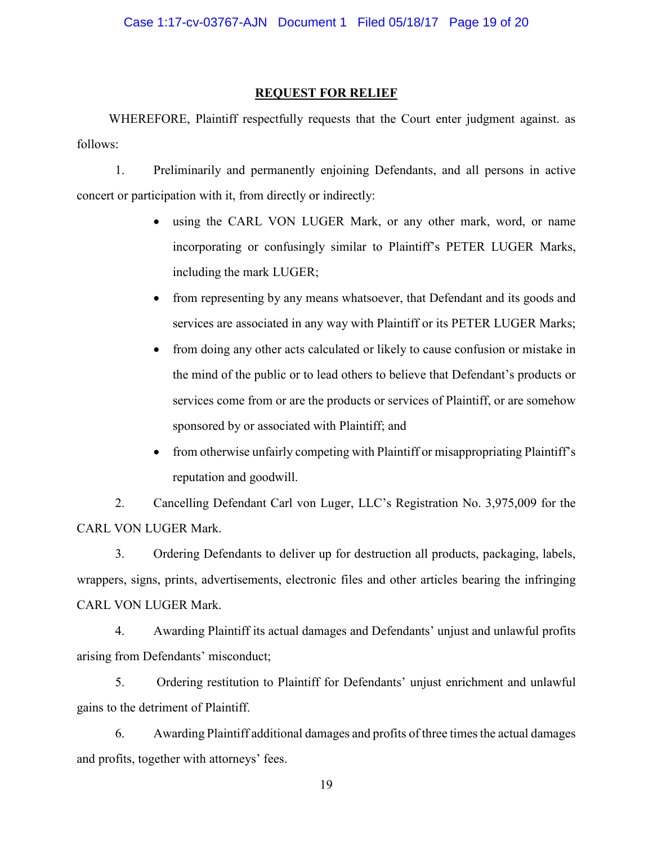# **REQUEST FOR RELIEF**

 WHEREFORE, Plaintiff respectfully requests that the Court enter judgment against. as follows:

1. Preliminarily and permanently enjoining Defendants, and all persons in active concert or participation with it, from directly or indirectly:

- using the CARL VON LUGER Mark, or any other mark, word, or name incorporating or confusingly similar to Plaintiff's PETER LUGER Marks, including the mark LUGER;
- from representing by any means whatsoever, that Defendant and its goods and services are associated in any way with Plaintiff or its PETER LUGER Marks;
- from doing any other acts calculated or likely to cause confusion or mistake in the mind of the public or to lead others to believe that Defendant's products or services come from or are the products or services of Plaintiff, or are somehow sponsored by or associated with Plaintiff; and
- from otherwise unfairly competing with Plaintiff or misappropriating Plaintiff's reputation and goodwill.

2. Cancelling Defendant Carl von Luger, LLC's Registration No. 3,975,009 for the CARL VON LUGER Mark.

3. Ordering Defendants to deliver up for destruction all products, packaging, labels, wrappers, signs, prints, advertisements, electronic files and other articles bearing the infringing CARL VON LUGER Mark.

4. Awarding Plaintiff its actual damages and Defendants' unjust and unlawful profits arising from Defendants' misconduct;

5. Ordering restitution to Plaintiff for Defendants' unjust enrichment and unlawful gains to the detriment of Plaintiff.

6. Awarding Plaintiff additional damages and profits of three times the actual damages and profits, together with attorneys' fees.